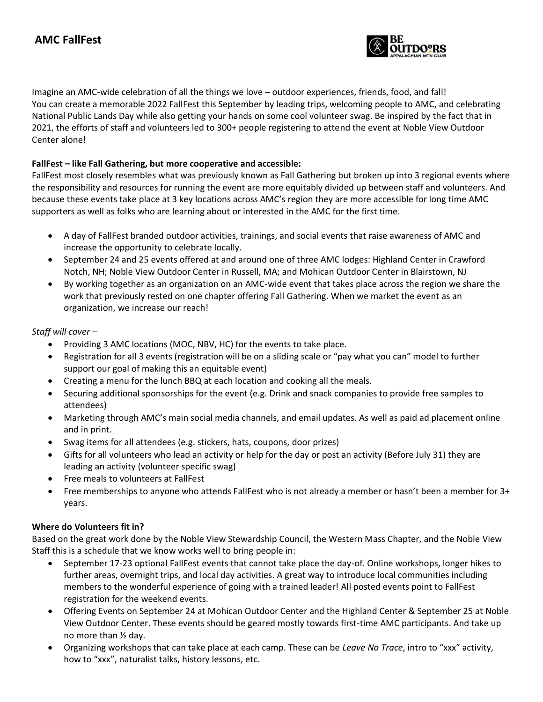

Imagine an AMC-wide celebration of all the things we love – outdoor experiences, friends, food, and fall! You can create a memorable 2022 FallFest this September by leading trips, welcoming people to AMC, and celebrating National Public Lands Day while also getting your hands on some cool volunteer swag. Be inspired by the fact that in 2021, the efforts of staff and volunteers led to 300+ people registering to attend the event at Noble View Outdoor Center alone!

## **FallFest – like Fall Gathering, but more cooperative and accessible:**

FallFest most closely resembles what was previously known as Fall Gathering but broken up into 3 regional events where the responsibility and resources for running the event are more equitably divided up between staff and volunteers. And because these events take place at 3 key locations across AMC's region they are more accessible for long time AMC supporters as well as folks who are learning about or interested in the AMC for the first time.

- A day of FallFest branded outdoor activities, trainings, and social events that raise awareness of AMC and increase the opportunity to celebrate locally.
- September 24 and 25 events offered at and around one of three AMC lodges: Highland Center in Crawford Notch, NH; Noble View Outdoor Center in Russell, MA; and Mohican Outdoor Center in Blairstown, NJ
- By working together as an organization on an AMC-wide event that takes place across the region we share the work that previously rested on one chapter offering Fall Gathering. When we market the event as an organization, we increase our reach!

## *Staff will cover –*

- Providing 3 AMC locations (MOC, NBV, HC) for the events to take place.
- Registration for all 3 events (registration will be on a sliding scale or "pay what you can" model to further support our goal of making this an equitable event)
- Creating a menu for the lunch BBQ at each location and cooking all the meals.
- Securing additional sponsorships for the event (e.g. Drink and snack companies to provide free samples to attendees)
- Marketing through AMC's main social media channels, and email updates. As well as paid ad placement online and in print.
- Swag items for all attendees (e.g. stickers, hats, coupons, door prizes)
- Gifts for all volunteers who lead an activity or help for the day or post an activity (Before July 31) they are leading an activity (volunteer specific swag)
- Free meals to volunteers at FallFest
- Free memberships to anyone who attends FallFest who is not already a member or hasn't been a member for 3+ years.

#### **Where do Volunteers fit in?**

Based on the great work done by the Noble View Stewardship Council, the Western Mass Chapter, and the Noble View Staff this is a schedule that we know works well to bring people in:

- September 17-23 optional FallFest events that cannot take place the day-of. Online workshops, longer hikes to further areas, overnight trips, and local day activities. A great way to introduce local communities including members to the wonderful experience of going with a trained leader! All posted events point to FallFest registration for the weekend events.
- Offering Events on September 24 at Mohican Outdoor Center and the Highland Center & September 25 at Noble View Outdoor Center. These events should be geared mostly towards first-time AMC participants. And take up no more than ½ day.
- Organizing workshops that can take place at each camp. These can be *Leave No Trace*, intro to "xxx" activity, how to "xxx", naturalist talks, history lessons, etc.